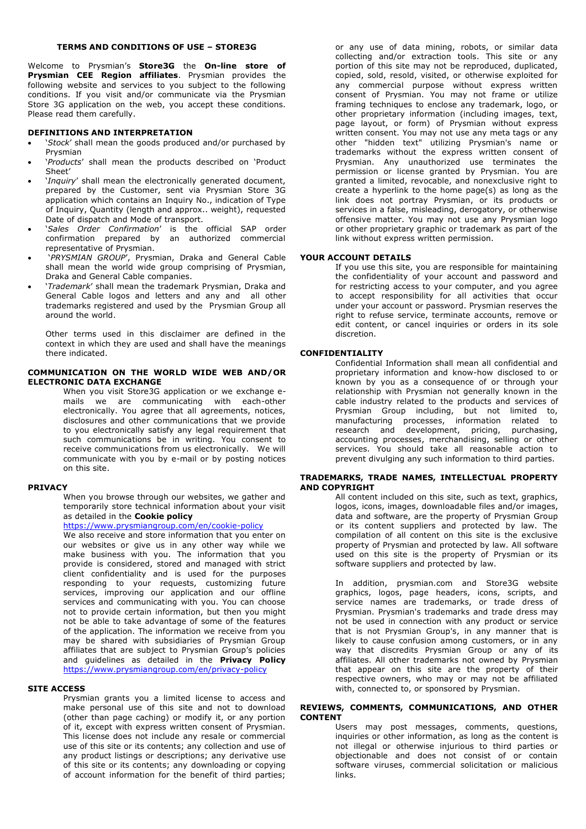# **TERMS AND CONDITIONS OF USE – STORE3G**

Welcome to Prysmian's **Store3G** the **On-line store of Prysmian CEE Region affiliates**. Prysmian provides the following website and services to you subject to the following conditions. If you visit and/or communicate via the Prysmian Store 3G application on the web, you accept these conditions. Please read them carefully.

### **DEFINITIONS AND INTERPRETATION**

- '*Stock*' shall mean the goods produced and/or purchased by Prysmian
- '*Products*' shall mean the products described on 'Product Sheet'
- '*Inquiry*' shall mean the electronically generated document, prepared by the Customer, sent via Prysmian Store 3G application which contains an Inquiry No., indication of Type of Inquiry, Quantity (length and approx.. weight), requested Date of dispatch and Mode of transport.
- '*Sales Order Confirmation*' is the official SAP order confirmation prepared by an authorized commercial representative of Prysmian.
- '*PRYSMIAN GROUP*', Prysmian, Draka and General Cable shall mean the world wide group comprising of Prysmian, Draka and General Cable companies.
- '*Trademark*' shall mean the trademark Prysmian, Draka and General Cable logos and letters and any and all other trademarks registered and used by the Prysmian Group all around the world.

Other terms used in this disclaimer are defined in the context in which they are used and shall have the meanings there indicated.

# **COMMUNICATION ON THE WORLD WIDE WEB AND/OR ELECTRONIC DATA EXCHANGE**

When you visit Store3G application or we exchange emails we are communicating with each-other electronically. You agree that all agreements, notices, disclosures and other communications that we provide to you electronically satisfy any legal requirement that such communications be in writing. You consent to receive communications from us electronically. We will communicate with you by e-mail or by posting notices on this site.

#### **PRIVACY**

When you browse through our websites, we gather and temporarily store technical information about your visit as detailed in the **Cookie policy**

<https://www.prysmiangroup.com/en/cookie-policy>

We also receive and store information that you enter on our websites or give us in any other way while we make business with you. The information that you provide is considered, stored and managed with strict client confidentiality and is used for the purposes responding to your requests, customizing future services, improving our application and our offline services and communicating with you. You can choose not to provide certain information, but then you might not be able to take advantage of some of the features of the application. The information we receive from you may be shared with subsidiaries of Prysmian Group affiliates that are subject to Prysmian Group's policies and guidelines as detailed in the **Privacy Policy** <https://www.prysmiangroup.com/en/privacy-policy>

### **SITE ACCESS**

Prysmian grants you a limited license to access and make personal use of this site and not to download (other than page caching) or modify it, or any portion of it, except with express written consent of Prysmian. This license does not include any resale or commercial use of this site or its contents; any collection and use of any product listings or descriptions; any derivative use of this site or its contents; any downloading or copying of account information for the benefit of third parties;

or any use of data mining, robots, or similar data collecting and/or extraction tools. This site or any portion of this site may not be reproduced, duplicated, copied, sold, resold, visited, or otherwise exploited for any commercial purpose without express written consent of Prysmian. You may not frame or utilize framing techniques to enclose any trademark, logo, or other proprietary information (including images, text, page layout, or form) of Prysmian without express written consent. You may not use any meta tags or any other "hidden text" utilizing Prysmian's name or trademarks without the express written consent of Prysmian. Any unauthorized use terminates the permission or license granted by Prysmian. You are granted a limited, revocable, and nonexclusive right to create a hyperlink to the home page(s) as long as the link does not portray Prysmian, or its products or services in a false, misleading, derogatory, or otherwise offensive matter. You may not use any Prysmian logo or other proprietary graphic or trademark as part of the link without express written permission.

### **YOUR ACCOUNT DETAILS**

If you use this site, you are responsible for maintaining the confidentiality of your account and password and for restricting access to your computer, and you agree to accept responsibility for all activities that occur under your account or password. Prysmian reserves the right to refuse service, terminate accounts, remove or edit content, or cancel inquiries or orders in its sole discretion.

# **CONFIDENTIALITY**

Confidential Information shall mean all confidential and proprietary information and know-how disclosed to or known by you as a consequence of or through your relationship with Prysmian not generally known in the cable industry related to the products and services of Prysmian Group including, but not limited to, manufacturing processes, information related to research and development, pricing, purchasing, accounting processes, merchandising, selling or other services. You should take all reasonable action to prevent divulging any such information to third parties.

# **TRADEMARKS, TRADE NAMES, INTELLECTUAL PROPERTY AND COPYRIGHT**

All content included on this site, such as text, graphics, logos, icons, images, downloadable files and/or images, data and software, are the property of Prysmian Group or its content suppliers and protected by law. The compilation of all content on this site is the exclusive property of Prysmian and protected by law. All software used on this site is the property of Prysmian or its software suppliers and protected by law.

In addition, prysmian.com and Store3G website graphics, logos, page headers, icons, scripts, and service names are trademarks, or trade dress of Prysmian. Prysmian's trademarks and trade dress may not be used in connection with any product or service that is not Prysmian Group's, in any manner that is likely to cause confusion among customers, or in any way that discredits Prysmian Group or any of its affiliates. All other trademarks not owned by Prysmian that appear on this site are the property of their respective owners, who may or may not be affiliated with, connected to, or sponsored by Prysmian.

# **REVIEWS, COMMENTS, COMMUNICATIONS, AND OTHER CONTENT**

Users may post messages, comments, questions, inquiries or other information, as long as the content is not illegal or otherwise injurious to third parties or objectionable and does not consist of or contain software viruses, commercial solicitation or malicious links.